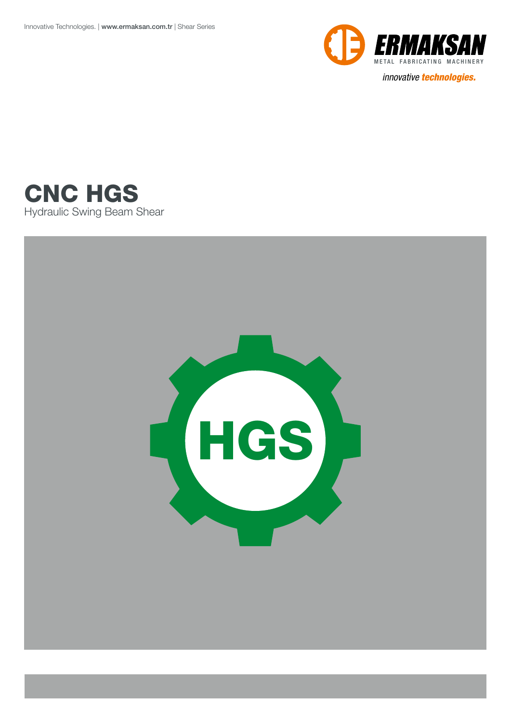

*innovative technologies.*



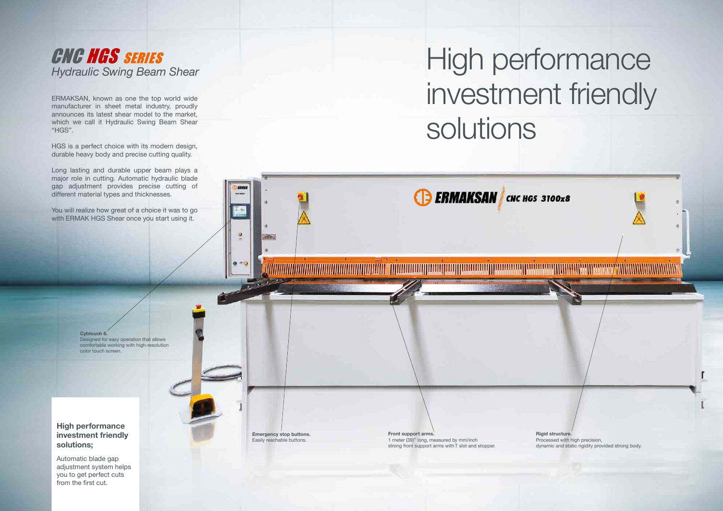ERMAKSAN, known as one the top world wide manufacturer in sheet metal industry, proudly announces its latest shear model to the market, which we call it Hydraulic Swing Beam Shear "HGS".

HGS is a perfect choice with its modern design, durable heavy body and precise cutting quality.

## **CNC HGS SERIES** *Hydraulic Swing Beam Shear*

Long lasting and durable upper beam plays a major role in cutting. Automatic hydraulic blade gap adjustment provides precise cutting of different material types and thicknesses.

You will realize how great of a choice it was to go with ERMAK HGS Shear once you start using it.

## High performance investment friendly solutions

#### **High performance investment friendly solutions;**

Automatic blade gap adjustment system helps you to get perfect cuts from the first cut.

#### **Cybtouch 6.** Designed for easy operation that allows comfortable working with high-resolution color touch screen.

**Front support arms.** 1 meter (39)" long, measured by mm/inch strong front support arms with T slot and stopper.



**Emergency stop buttons.** Easily reachable buttons.

ø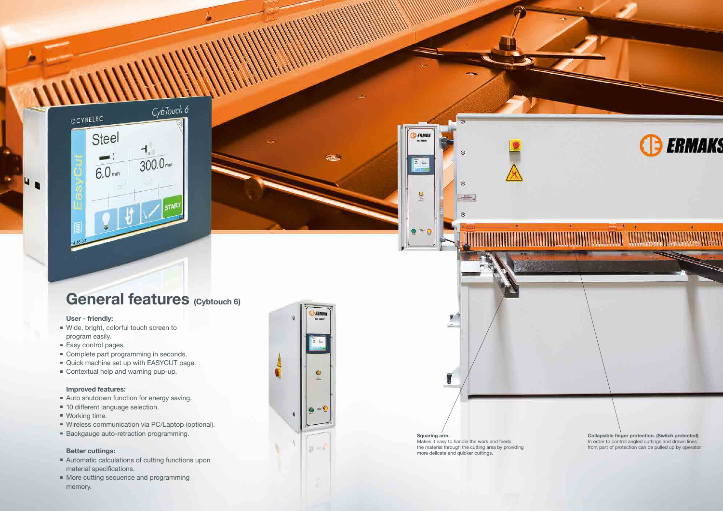#### **Squaring arm.** Makes it easy to handle the work and feeds the material through the cutting area by providing more delicate and quicker cuttings.

**ERMAK** 

**BEL SERIES** 

言語

 $\frac{9}{2}$ 

 $\frac{1}{2}$ 

 $\overline{r}$ 

T

- Wide, bright, colorful touch screen to program easily.
- Easy control pages.
- Complete part programming in seconds.
- Quick machine set up with EASYCUT page.
- Contextual help and warning pup-up.







## **General features (Cybtouch 6)**

#### **User - friendly:**

**UR** 

TQ.

- Automatic calculations of cutting functions upon material specifications.
- **More cutting sequence and programming** memory.



#### **Improved features:**

- Auto shutdown function for energy saving.
- **10 different language selection.**
- Working time.
- Wireless communication via PC/Laptop (optional).
- **Backgauge auto-retraction programming.**

#### **Better cuttings:**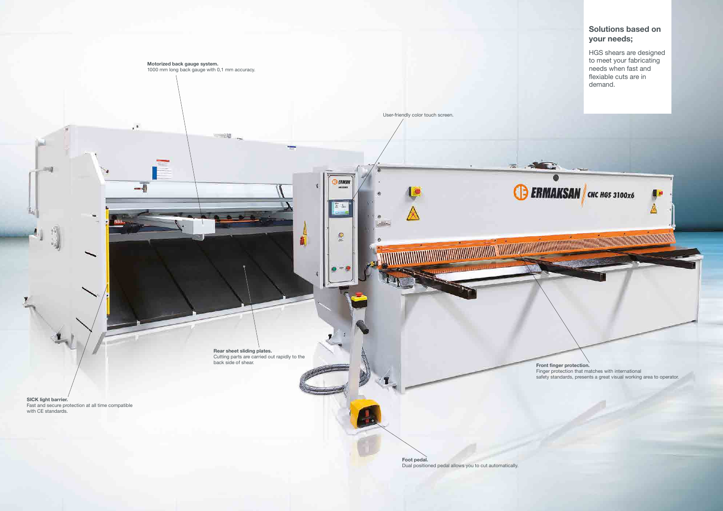#### **Solutions based on your needs;**

HGS shears are designed to meet your fabricating needs when fast and flexiable cuts are in



safety standards, presents a great visual working area to operator.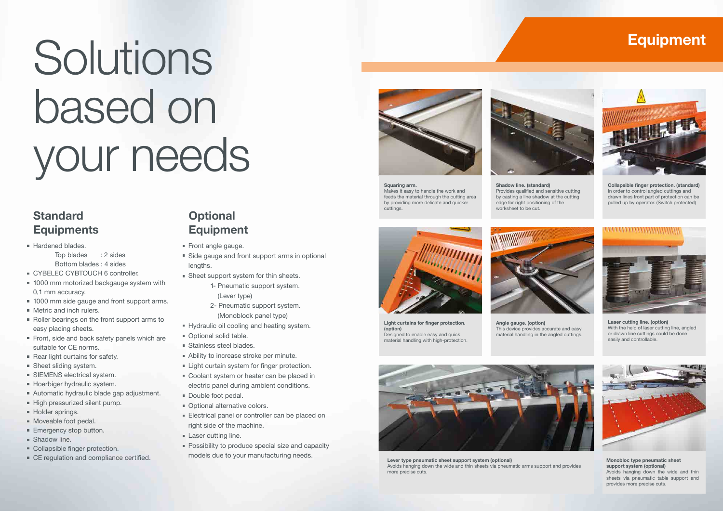## **Equipment**

![](_page_4_Picture_52.jpeg)

**Laser cutting line. (option)** With the help of laser cutting line, angled or drawn line cuttings could be done easily and controllable.

![](_page_4_Picture_55.jpeg)

**Monobloc type pneumatic sheet support system (optional)** Avoids hanging down the wide and thin sheets via pneumatic table support and provides more precise cuts.

![](_page_4_Picture_43.jpeg)

**Light curtains for finger protection. (option)** Designed to enable easy and quick material handling with high-protection.

**Squaring arm.** Makes it easy to handle the work and feeds the material through the cutting area by providing more delicate and quicker cuttings.

![](_page_4_Picture_41.jpeg)

**Angle gauge. (option)** This device provides accurate and easy material handling in the angled cuttings.

![](_page_4_Picture_46.jpeg)

**Lever type pneumatic sheet support system (optional)** Avoids hanging down the wide and thin sheets via pneumatic arms support and provides more precise cuts.

**Shadow line. (standard)** Provides qualified and sensitive cutting by casting a line shadow at the cutting edge for right positioning of the worksheet to be cut.

**Collapsible finger protection. (standard)** In order to control angled cuttings and drawn lines front part of protection can be pulled up by operator. (Switch protected)

![](_page_4_Picture_51.jpeg)

# Solutions based on your needs

## **Standard Equipments**

- Hardened blades. Top blades : 2 sides
	- Bottom blades : 4 sides
- CYBELEC CYBTOUCH 6 controller.
- 1000 mm motorized backgauge system with 0,1 mm accuracy.
- 1000 mm side gauge and front support arms.
- **Metric and inch rulers.**
- Roller bearings on the front support arms to easy placing sheets.
- Front, side and back safety panels which are suitable for CE norms.
- Rear light curtains for safety.
- Sheet sliding system.
- **SIEMENS** electrical system.
- **Hoerbiger hydraulic system.**
- Automatic hydraulic blade gap adjustment.
- High pressurized silent pump.
- Holder springs.
- Moveable foot pedal.
- Emergency stop button.
- **Shadow line.**
- Collapsible finger protection.
- CE regulation and compliance certified.
- Front angle gauge.
- Side gauge and front support arms in optional lengths.
- Sheet support system for thin sheets.
	- 1- Pneumatic support system. (Lever type)
	- 2- Pneumatic support system. (Monoblock panel type)
- Hydraulic oil cooling and heating system.
- Optional solid table.
- Stainless steel blades.
- Ability to increase stroke per minute.
- Light curtain system for finger protection.
- Coolant system or heater can be placed in electric panel during ambient conditions.
- Double foot pedal.
- **Optional alternative colors.**
- Electrical panel or controller can be placed on right side of the machine.
- **Laser cutting line.**
- **Possibility to produce special size and capacity** models due to your manufacturing needs.

![](_page_4_Picture_39.jpeg)

### **Optional Equipment**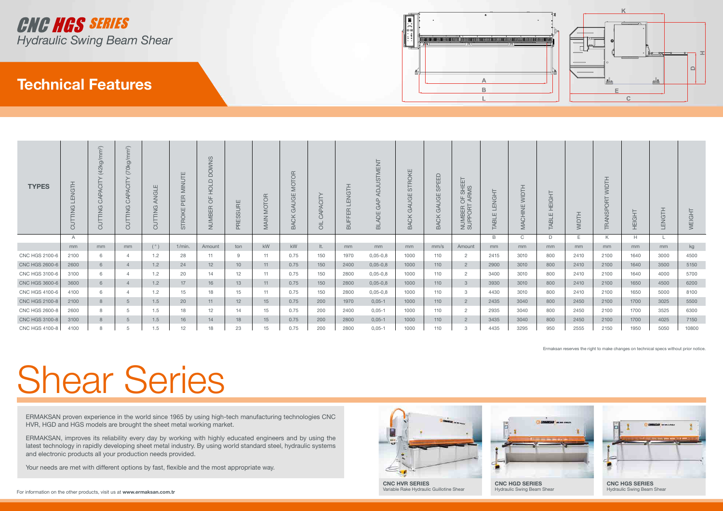# Shear Series

ERMAKSAN proven experience in the world since 1965 by using high-tech manufacturing technologies CNC HVR, HGD and HGS models are brought the sheet metal working market.

ERMAKSAN, improves its reliability every day by working with highly educated engineers and by using the latest technology in rapidly developing sheet metal industry. By using world standard steel, hydraulic systems and electronic products all your production needs provided.

Your needs are met with different options by fast, flexible and the most appropriate way.

![](_page_5_Picture_8.jpeg)

Variable Rake Hydraulic Guillotine Shear

Hydraulic Swing Beam Shear

![](_page_5_Picture_13.jpeg)

Ermaksan reserves the right to make changes on technical specs without prior notice.

## **Technical Features**

![](_page_5_Picture_0.jpeg)

![](_page_5_Figure_1.jpeg)

| <b>TYPES</b>          | ENGTH<br>TTING<br>UÖ | $m^2$<br>(42kg/m)<br>등<br>Ł<br>⋖<br>$\circ$<br>$\frac{G}{Z}$<br>$\overline{\phantom{0}}$<br>ಠ | $(70kg/mm^2)$<br>APACIT<br>$\circ$<br>$\frac{G}{Z}$<br>二<br>⊢<br>JÖ | ш<br>ANGL<br>$\frac{c}{\sqrt{2}}$<br>⇁<br>$\circ$ | UTE<br>$\frac{1}{2}$<br>띥<br>௨<br>STROKE | SNMO<br>≏<br>$\supset$<br>$\overline{\circ}$<br>工<br>Щ<br>$\circ$<br>NUMBER | ш<br>$\approx$<br><b>RESSUE</b> | ЯÖ.<br>⊢<br>$rac{1}{2}$<br>$\frac{1}{2}$<br>$\Rightarrow$<br>∠ | <b>MOTOR</b><br>GΕ<br>⊄<br>ூ<br><b>ACK</b><br>മ | 느.<br>Q<br>$\circ$ | <b>ENGTH</b><br><b>IUFFER</b><br>$\mathbf{\underline{\underline{\omega}}}$ | <b>TNENT</b><br>Ċ.<br>C<br>ADE<br>$\overline{\mathbb{Z}}$ | STROKE<br>AUGE<br>ு<br><b>ACK</b><br>$\overline{u}$ | <b>EED</b><br>$\frac{D}{\infty}$<br>GE<br>$\overline{4}$<br>ூ<br><b>ACK</b><br>$\alpha$ | OF SHEET<br>[ARMS<br>NUMBER (<br>SUPPORT | <b>ENGHT</b><br>ABLE | 亡<br>$\subseteq$<br>ш<br>$\overline{\underline{z}}$<br>$\circ$ | <b>IEIGHT</b><br>ш<br><b>HBK</b> | 工<br>$\vdash$<br>`⊇<br>$\overline{\geq}$ | <b>HLOIM</b><br><b>ORT</b><br>$\mathbf{\underline{\Omega}}$<br>TRANSI | 보<br>U<br>重 | <b>LENGTH</b> | WEIGHT |
|-----------------------|----------------------|-----------------------------------------------------------------------------------------------|---------------------------------------------------------------------|---------------------------------------------------|------------------------------------------|-----------------------------------------------------------------------------|---------------------------------|----------------------------------------------------------------|-------------------------------------------------|--------------------|----------------------------------------------------------------------------|-----------------------------------------------------------|-----------------------------------------------------|-----------------------------------------------------------------------------------------|------------------------------------------|----------------------|----------------------------------------------------------------|----------------------------------|------------------------------------------|-----------------------------------------------------------------------|-------------|---------------|--------|
|                       | A                    |                                                                                               |                                                                     |                                                   |                                          |                                                                             |                                 |                                                                |                                                 |                    |                                                                            |                                                           |                                                     |                                                                                         |                                          | B                    | $\mathsf{C}$                                                   | D                                | E.                                       | K.                                                                    | H           |               |        |
|                       | mm                   | mm                                                                                            | mm                                                                  | (°)                                               | 1/min.                                   | Amount                                                                      | ton                             | kW                                                             | kW                                              | lt.                | mm                                                                         | mm                                                        | mm                                                  | mm/s                                                                                    | Amount                                   | mm                   | mm                                                             | mm                               | mm                                       | mm                                                                    | mm          | mm            | kg     |
| <b>CNC HGS 2100-6</b> | 2100                 | 6                                                                                             | $\overline{4}$                                                      | 1.2                                               | 28                                       | 11                                                                          | 9                               | 11                                                             | 0.75                                            | 150                | 1970                                                                       | $0,05-0,8$                                                | 1000                                                | 110                                                                                     | $\overline{2}$                           | 2415                 | 3010                                                           | 800                              | 2410                                     | 2100                                                                  | 1640        | 3000          | 4500   |
| <b>CNC HGS 2600-6</b> | 2600                 | 6                                                                                             |                                                                     | 1.2                                               | 24                                       | 12                                                                          | 10 <sup>°</sup>                 | 11                                                             | 0.75                                            | 150                | 2400                                                                       | $0,05-0,8$                                                | 1000                                                | 110                                                                                     | $\overline{2}$                           | 2900                 | 3010                                                           | 800                              | 2410                                     | 2100                                                                  | 1640        | 3500          | 5150   |
| <b>CNC HGS 3100-6</b> | 3100                 | 6                                                                                             | $\overline{4}$                                                      | 1.2                                               | 20                                       | 14                                                                          | 12 <sup>°</sup>                 | 11                                                             | 0.75                                            | 150                | 2800                                                                       | $0,05-0,8$                                                | 1000                                                | 110                                                                                     | $\overline{2}$                           | 3400                 | 3010                                                           | 800                              | 2410                                     | 2100                                                                  | 1640        | 4000          | 5700   |
| <b>CNC HGS 3600-6</b> | 3600                 | 6                                                                                             |                                                                     | 1.2                                               | 17                                       | 16                                                                          | 13                              | 11                                                             | 0.75                                            | 150                | 2800                                                                       | $0,05-0,8$                                                | 1000                                                | 110                                                                                     | 3                                        | 3930                 | 3010                                                           | 800                              | 2410                                     | 2100                                                                  | 1650        | 4500          | 6200   |
| <b>CNC HGS 4100-6</b> | 4100                 | 6                                                                                             | $\Delta$                                                            | 1.2                                               | 15                                       | 18                                                                          | 15                              | 11                                                             | 0.75                                            | 150                | 2800                                                                       | $0,05-0,8$                                                | 1000                                                | 110                                                                                     | -3                                       | 4430                 | 3010                                                           | 800                              | 2410                                     | 2100                                                                  | 1650        | 5000          | 8100   |
| <b>CNC HGS 2100-8</b> | 2100                 | 8                                                                                             | 5                                                                   | 1.5                                               | 20                                       | 11                                                                          | 12                              | 15                                                             | 0.75                                            | 200                | 1970                                                                       | $0,05-1$                                                  | 1000                                                | 110                                                                                     | $\overline{2}$                           | 2435                 | 3040                                                           | 800                              | 2450                                     | 2100                                                                  | 1700        | 3025          | 5500   |
| <b>CNC HGS 2600-8</b> | 2600                 | 8                                                                                             | 5                                                                   | 1.5                                               | 18                                       | 12 <sup>2</sup>                                                             | 14                              | 15                                                             | 0.75                                            | 200                | 2400                                                                       | $0,05-1$                                                  | 1000                                                | 110                                                                                     | $\overline{2}$                           | 2935                 | 3040                                                           | 800                              | 2450                                     | 2100                                                                  | 1700        | 3525          | 6300   |
| <b>CNC HGS 3100-8</b> | 3100                 | 8                                                                                             | 5                                                                   | 1.5                                               | 16                                       | 14                                                                          | 18                              | 15                                                             | 0.75                                            | 200                | 2800                                                                       | $0,05-1$                                                  | 1000                                                | 110                                                                                     | $\overline{2}$                           | 3435                 | 3040                                                           | 800                              | 2450                                     | 2100                                                                  | 1700        | 4025          | 7150   |
| CNC HGS 4100-8        | 4100                 |                                                                                               |                                                                     | 1.5                                               | 12                                       | 18                                                                          | 23                              | 15                                                             | 0.75                                            | 200                | 2800                                                                       | $0,05-1$                                                  | 1000                                                | 110                                                                                     | 3                                        | 4435                 | 3295                                                           | 950                              | 2555                                     | 2150                                                                  | 1950        | 5050          | 10800  |